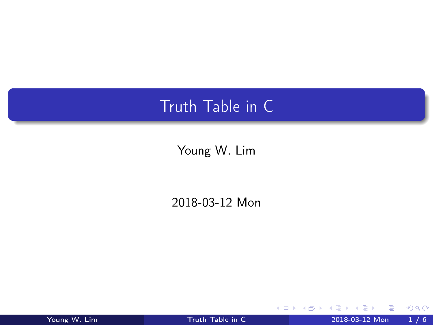## <span id="page-0-0"></span>Truth Table in C

Young W. Lim

2018-03-12 Mon

Young W. Lim [Truth Table in C](#page-5-0) 2018-03-12 Mon 1 / 6

B

э  $\rightarrow$  $\rightarrow$ 

**K ロ ト K 伊 ト K** 

÷,

 $299$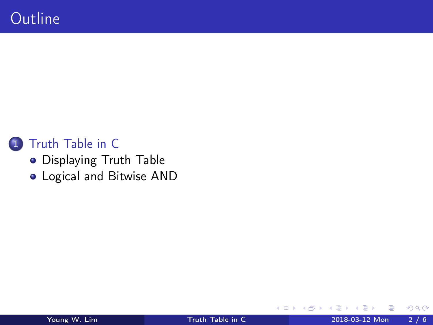

## 1 [Truth Table in C](#page-2-0)

- **[Displaying Truth Table](#page-2-0)**
- [Logical and Bitwise AND](#page-4-0)

4 D F

向  $\rightarrow$   $299$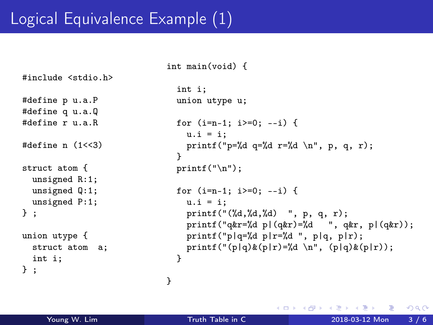## <span id="page-2-0"></span>Logical Equivalence Example (1)

```
#include <stdio.h>
#define p u.a.P
#define q u.a.Q
#define r u.a.R
#define n (1<<3)
struct atom {
  unsigned R:1;
  unsigned Q:1;
  unsigned P:1;
} ;
union utype {
  struct atom a;
  int i;
} ;
```

```
int main(void) {
  int i;
  union utype u;
  for (i=n-1; i>=0; --i) {
   u.i = i:
   printf("p=%d q=%d r=%d \n", p, q, r);
  }
  print(f("n");
  for (i=n-1; i)=0; -1) {
   u.i = i:
    printf("(%d,%d,%d) ", p, q, r);
    printf("q&r=%d p|(q&r)=%d ", q&r, p|(q&r));
    printf("p|q=%d p|r=%d ", p|q, p|r);
   printf("(p|q)&(p|r)=%d \n", (p|q)&(p|r);
  }
```
}

イロト イ押ト イヨト イヨト

 $QQ$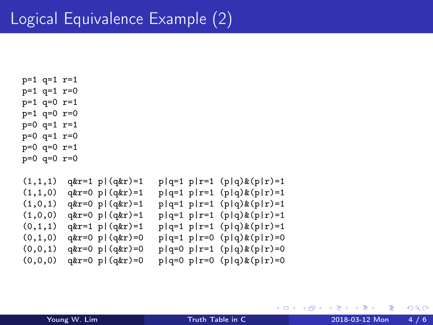- p=1 q=1 r=1 p=1 q=1 r=0 p=1 q=0 r=1 p=1 q=0 r=0 p=0 q=1 r=1 p=0 q=1 r=0 p=0 q=0 r=1 p=0 q=0 r=0
- $(1,1,1)$  q&r=1 p|(q&r)=1 p|q=1 p|r=1 (p|q)&(p|r)=1  $(1,1,0)$  q&r=0 p|(q&r)=1 p|q=1 p|r=1 (p|q)&(p|r)=1 (1,0,1) q&r=0 p|(q&r)=1 p|q=1 p|r=1 (p|q)&(p|r)=1<br>(1,0,0) q&r=0 p|(q&r)=1 p|q=1 p|r=1 (p|q)&(p|r)=1  $p|q=1$   $p|r=1$   $(p|q)$   $(x|r)=1$  $(0,1,1)$  q&r=1 p|(q&r)=1 p|q=1 p|r=1 (p|q)&(p|r)=1  $(0,1,0)$  q&r=0 p|(q&r)=0 p|q=1 p|r=0 (p|q)&(p|r)=0  $(0,0,1)$  q&r=0 p|(q&r)=0 p|q=0 p|r=1 (p|q)&(p|r)=0  $(0,0,0)$  q&r=0 p|(q&r)=0 p|q=0 p|r=0 (p|q)&(p|r)=0

イロト イ押 トイヨ トイヨ

 $299$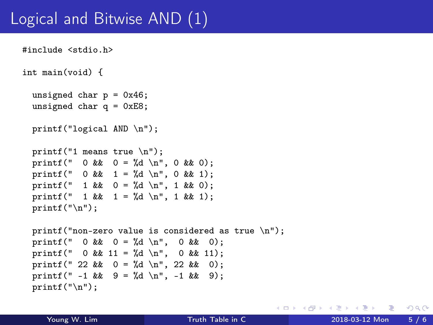## <span id="page-4-0"></span>Logical and Bitwise AND (1)

```
#include <stdio.h>
int main(void) {
  unsigned char p = 0x46:
  unsigned char q = 0xE8;
  printf("logical AND \n");
  printf("1 means true \n"):
  printf(" 0 && 0 = \frac{1}{4} \ln", 0 && 0);
  printf(" 0 & 1 = \{d \mid n, 0 \leq k \leq 1\};
  printf(" 1 \& 0 = \& d \n\mid n", 1 \& 0);
  printf(" 1 \& 1 = \%d \n\pi, 1 \& 1);
  printf("\ln");
  printf("non-zero value is considered as true \langle n'' \rangle;
  printf(" 0 && 0 = \frac{1}{6} \n", 0 && 0);
  printf(" 0 && 11 = %d \n", 0 && 11);
  printf(" 22 & 0 = %d \n", 22 & 0);
  printf(" -1 && 9 = \frac{1}{9} \n", -1 && 9);
  print(f("n");
```
**KORK ELKERKERKERKER**